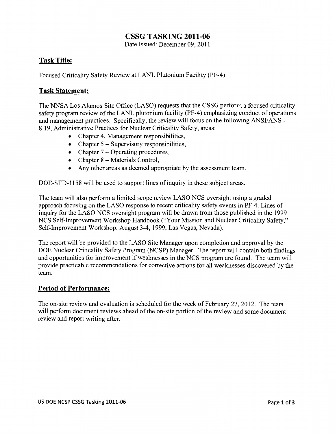# **CSSG TASKING 2011-06**

Date Issued: December 09, 2011

# **Task Title:**

Focused Criticality Safety Review at LANL Plutonium Facility (PF-4)

# **Task Statement:**

The NNSA Los Alamos Site Office (LASO) requests that the CSSG perform a focused criticality safety program review of the LANL plutonium facility (PF-4) emphasizing conduct of operations and management practices. Specifically, the review will focus on the following ANSI/ANS -8.19, Administrative Practices for Nuclear Criticality Safety, areas:

- Chapter 4, Management responsibilities,
- Chapter  $5 -$  Supervisory responsibilities,
- Chapter  $7$  Operating procedures,
- Chapter 8 Materials Control,
- Any other areas as deemed appropriate by the assessment team.

DOE-STD-1158 will be used to support lines of inquiry in these subject areas.

The team will also perform a limited scope review LASO NCS oversight using a graded approach focusing on the LASO response to recent criticality safety events in PF-4. Lines of inquiry for the LASO NCS oversight program will be drawn from those published in the 1999 NCS Self-Improvement Workshop Handbook ("Your Mission and Nuclear Criticality Safety," Self-Improvement Workshop, August 3-4, 1999, Las Vegas, Nevada).

The report will be provided to the LASO Site Manager upon completion and approval by the DOE Nuclear Criticality Safety Program (NCSP) Manager. The report will contain both findings and opportunities for improvement if weaknesses in the NCS program are found. The team will provide practicable recommendations for corrective actions for all weaknesses discovered by the team.

# **Period of Performance:**

The on-site review and evaluation is scheduled for the week of February 27, 2012. The team will perform document reviews ahead of the on-site portion of the review and some document review and report writing after.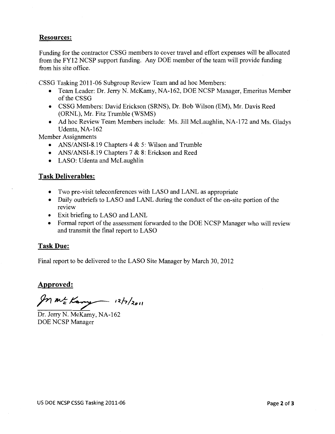## **Resources:**

Funding for the contractor CSSG members to cover travel and effort expenses will be allocated from the FY12 NCSP support funding. Any DOE member of the team will provide funding from his site office.

CSSG Tasking 2011-06 Subgroup Review Team and ad hoc Members:

- Team Leader: Dr. Jerry N. McKamy, NA-162, DOE NCSP Manager, Emeritus Member of the CSSG
- CSSG Members: David Erickson (SRNS), Dr. Bob Wilson (EM), Mr. Davis Reed (ORNL), Mr. Fitz Trumble (WSMS)
- Ad hoc Review Team Members include: Ms. Jill McLaughlin, NA-172 and Ms. Gladys Udenta, NA-162

Member Assignments

- ANS/ANSI-8.19 Chapters  $4 & 5$ : Wilson and Trumble
- ANS/ANSI-8.19 Chapters 7 & 8: Erickson and Reed
- LASO: Udenta and McLaughlin

### **Task Deliverables:**

- Two pre-visit teleconferences with LASO and LANL as appropriate
- Daily outbriefs to LASO and LANL during the conduct of the on-site portion of the review
- Exit briefing to LASO and LANL
- Formal report of the assessment forwarded to the DOE NCSP Manager who will review and transmit the final report to LASO

### **Task Due:**

Final report to be delivered to the LASO Site Manager by March 30, 2012

### **Approved:**

 $\beta$ n m<sup>2</sup> Kany - 12/7/2011

Dr. Jerry N. McKamy, NA-162 DOE NCSP Manager